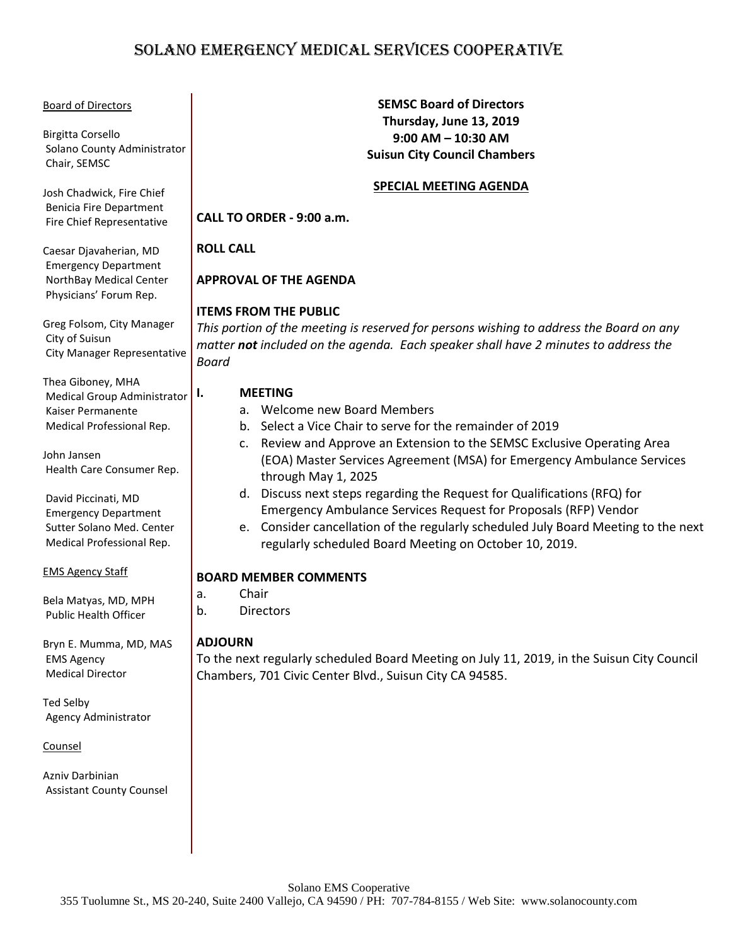# SOLANO EMERGENCY MEDICAL SERVICES COOPERATIVE

#### Board of Directors

Birgitta Corsello Solano County Administrator Chair, SEMSC

Josh Chadwick, Fire Chief Benicia Fire Department Fire Chief Representative

Caesar Djavaherian, MD Emergency Department NorthBay Medical Center Physicians' Forum Rep.

Greg Folsom, City Manager City of Suisun City Manager Representative

Thea Giboney, MHA Medical Group Administrator Kaiser Permanente Medical Professional Rep.

John Jansen Health Care Consumer Rep.

David Piccinati, MD Emergency Department Sutter Solano Med. Center Medical Professional Rep.

#### EMS Agency Staff

Bela Matyas, MD, MPH Public Health Officer

Bryn E. Mumma, MD, MAS EMS Agency Medical Director

Ted Selby Agency Administrator

Counsel

Azniv Darbinian Assistant County Counsel

#### **SEMSC Board of Directors Thursday, June 13, 2019 9:00 AM – 10:30 AM Suisun City Council Chambers**

#### **SPECIAL MEETING AGENDA**

**CALL TO ORDER - 9:00 a.m.**

#### **ROLL CALL**

## **APPROVAL OF THE AGENDA**

#### **ITEMS FROM THE PUBLIC**

*This portion of the meeting is reserved for persons wishing to address the Board on any matter not included on the agenda. Each speaker shall have 2 minutes to address the Board*

#### **I. MEETING**

- a. Welcome new Board Members
- b. Select a Vice Chair to serve for the remainder of 2019
- c. Review and Approve an Extension to the SEMSC Exclusive Operating Area (EOA) Master Services Agreement (MSA) for Emergency Ambulance Services through May 1, 2025
- d. Discuss next steps regarding the Request for Qualifications (RFQ) for Emergency Ambulance Services Request for Proposals (RFP) Vendor
- e. Consider cancellation of the regularly scheduled July Board Meeting to the next regularly scheduled Board Meeting on October 10, 2019.

#### **BOARD MEMBER COMMENTS**

- a. Chair
- b. Directors

#### **ADJOURN**

To the next regularly scheduled Board Meeting on July 11, 2019, in the Suisun City Council Chambers, 701 Civic Center Blvd., Suisun City CA 94585.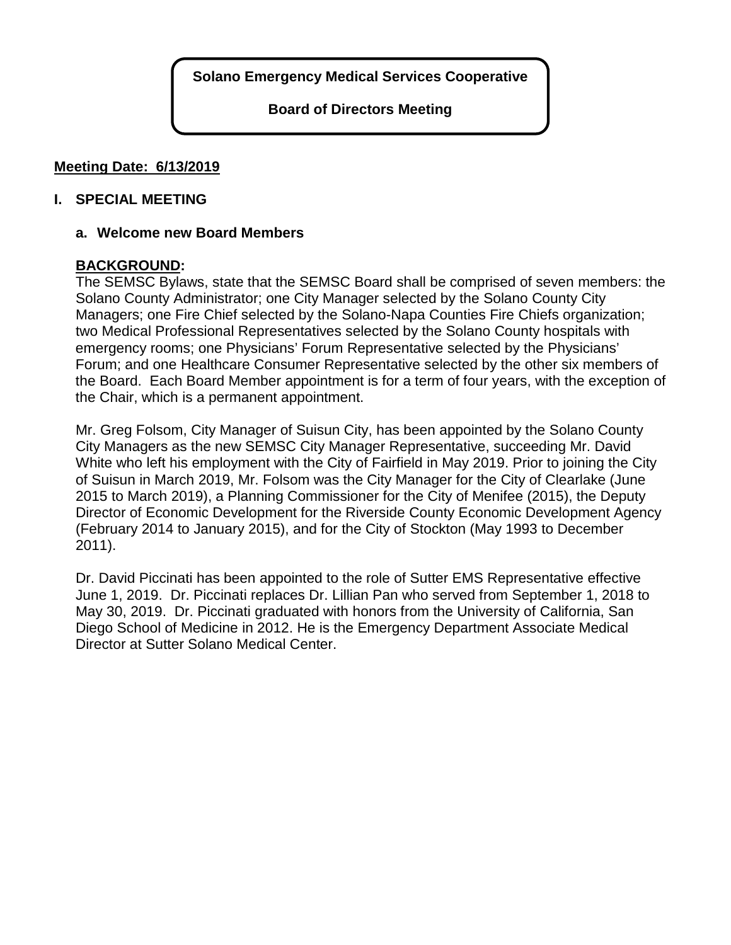**Board of Directors Meeting**

## **Meeting Date: 6/13/2019**

### **I. SPECIAL MEETING**

### **a. Welcome new Board Members**

## **BACKGROUND:**

The SEMSC Bylaws, state that the SEMSC Board shall be comprised of seven members: the Solano County Administrator; one City Manager selected by the Solano County City Managers; one Fire Chief selected by the Solano-Napa Counties Fire Chiefs organization; two Medical Professional Representatives selected by the Solano County hospitals with emergency rooms; one Physicians' Forum Representative selected by the Physicians' Forum; and one Healthcare Consumer Representative selected by the other six members of the Board. Each Board Member appointment is for a term of four years, with the exception of the Chair, which is a permanent appointment.

Mr. Greg Folsom, City Manager of Suisun City, has been appointed by the Solano County City Managers as the new SEMSC City Manager Representative, succeeding Mr. David White who left his employment with the City of Fairfield in May 2019. Prior to joining the City of Suisun in March 2019, Mr. Folsom was the City Manager for the City of Clearlake (June 2015 to March 2019), a Planning Commissioner for the City of Menifee (2015), the Deputy Director of Economic Development for the Riverside County Economic Development Agency (February 2014 to January 2015), and for the City of Stockton (May 1993 to December 2011).

Dr. David Piccinati has been appointed to the role of Sutter EMS Representative effective June 1, 2019. Dr. Piccinati replaces Dr. Lillian Pan who served from September 1, 2018 to May 30, 2019. Dr. Piccinati graduated with honors from the University of California, San Diego School of Medicine in 2012. He is the Emergency Department Associate Medical Director at Sutter Solano Medical Center.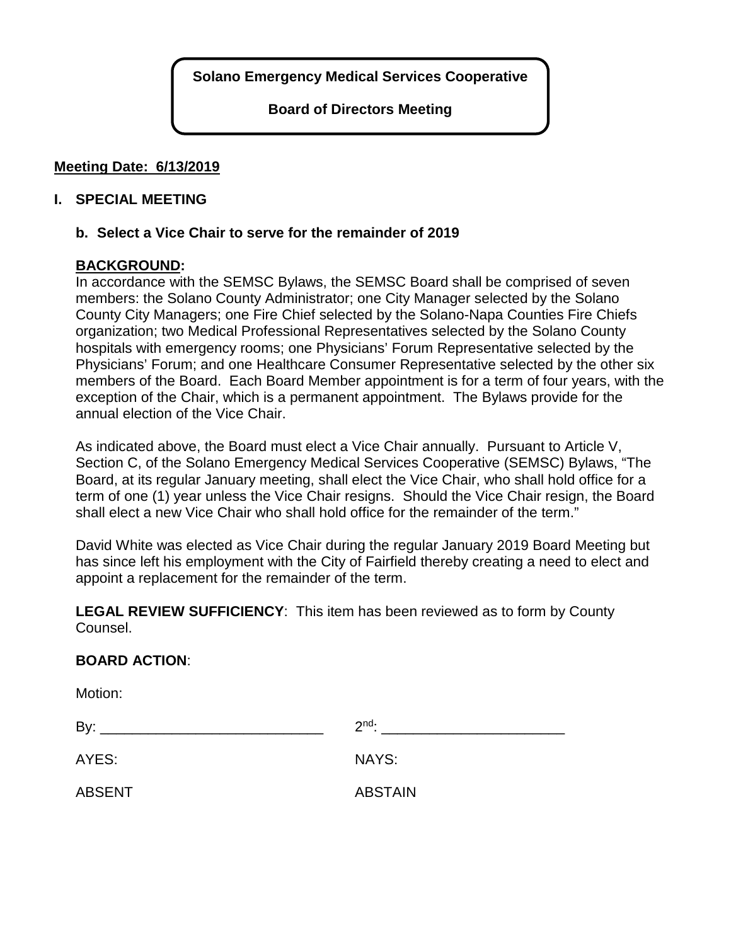**Board of Directors Meeting**

## **Meeting Date: 6/13/2019**

### **I. SPECIAL MEETING**

#### **b. Select a Vice Chair to serve for the remainder of 2019**

## **BACKGROUND:**

In accordance with the SEMSC Bylaws, the SEMSC Board shall be comprised of seven members: the Solano County Administrator; one City Manager selected by the Solano County City Managers; one Fire Chief selected by the Solano-Napa Counties Fire Chiefs organization; two Medical Professional Representatives selected by the Solano County hospitals with emergency rooms; one Physicians' Forum Representative selected by the Physicians' Forum; and one Healthcare Consumer Representative selected by the other six members of the Board. Each Board Member appointment is for a term of four years, with the exception of the Chair, which is a permanent appointment. The Bylaws provide for the annual election of the Vice Chair.

As indicated above, the Board must elect a Vice Chair annually. Pursuant to Article V, Section C, of the Solano Emergency Medical Services Cooperative (SEMSC) Bylaws, "The Board, at its regular January meeting, shall elect the Vice Chair, who shall hold office for a term of one (1) year unless the Vice Chair resigns. Should the Vice Chair resign, the Board shall elect a new Vice Chair who shall hold office for the remainder of the term."

David White was elected as Vice Chair during the regular January 2019 Board Meeting but has since left his employment with the City of Fairfield thereby creating a need to elect and appoint a replacement for the remainder of the term.

**LEGAL REVIEW SUFFICIENCY**: This item has been reviewed as to form by County Counsel.

#### **BOARD ACTION**:

Motion: By:  $2<sup>nd</sup>$ : AYES: NAYS: ABSENT ABSTAIN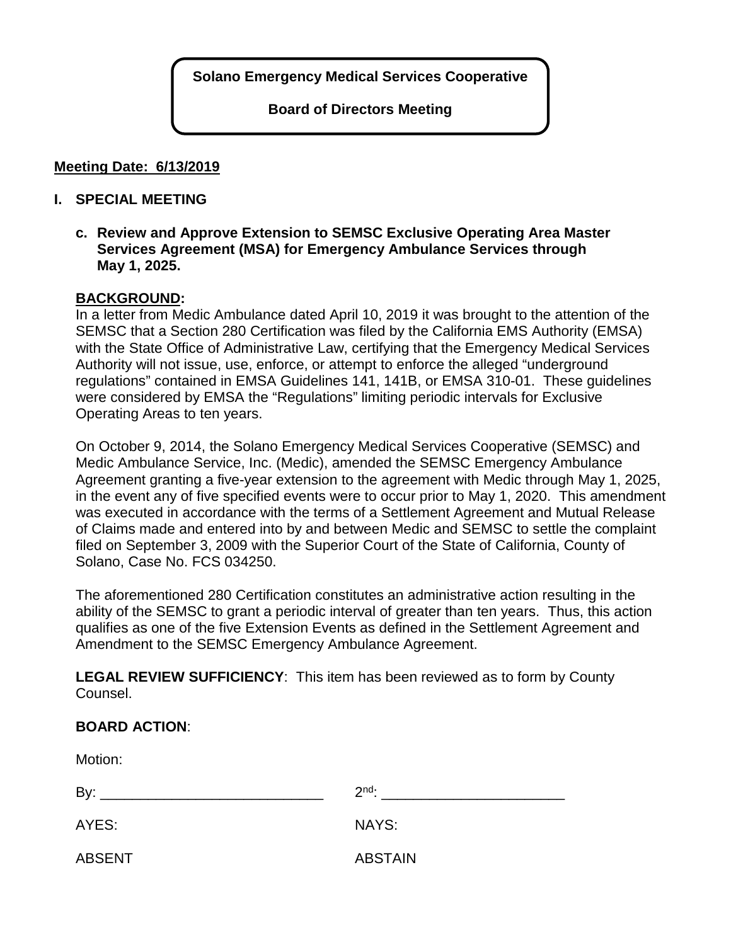**Board of Directors Meeting**

## **Meeting Date: 6/13/2019**

### **I. SPECIAL MEETING**

**c. Review and Approve Extension to SEMSC Exclusive Operating Area Master Services Agreement (MSA) for Emergency Ambulance Services through May 1, 2025.**

#### **BACKGROUND:**

In a letter from Medic Ambulance dated April 10, 2019 it was brought to the attention of the SEMSC that a Section 280 Certification was filed by the California EMS Authority (EMSA) with the State Office of Administrative Law, certifying that the Emergency Medical Services Authority will not issue, use, enforce, or attempt to enforce the alleged "underground regulations" contained in EMSA Guidelines 141, 141B, or EMSA 310-01. These guidelines were considered by EMSA the "Regulations" limiting periodic intervals for Exclusive Operating Areas to ten years.

On October 9, 2014, the Solano Emergency Medical Services Cooperative (SEMSC) and Medic Ambulance Service, Inc. (Medic), amended the SEMSC Emergency Ambulance Agreement granting a five-year extension to the agreement with Medic through May 1, 2025, in the event any of five specified events were to occur prior to May 1, 2020. This amendment was executed in accordance with the terms of a Settlement Agreement and Mutual Release of Claims made and entered into by and between Medic and SEMSC to settle the complaint filed on September 3, 2009 with the Superior Court of the State of California, County of Solano, Case No. FCS 034250.

The aforementioned 280 Certification constitutes an administrative action resulting in the ability of the SEMSC to grant a periodic interval of greater than ten years. Thus, this action qualifies as one of the five Extension Events as defined in the Settlement Agreement and Amendment to the SEMSC Emergency Ambulance Agreement.

**LEGAL REVIEW SUFFICIENCY**: This item has been reviewed as to form by County Counsel.

| Motion:       |                |
|---------------|----------------|
| By:           | $2nd$ :        |
| AYES:         | NAYS:          |
| <b>ABSENT</b> | <b>ABSTAIN</b> |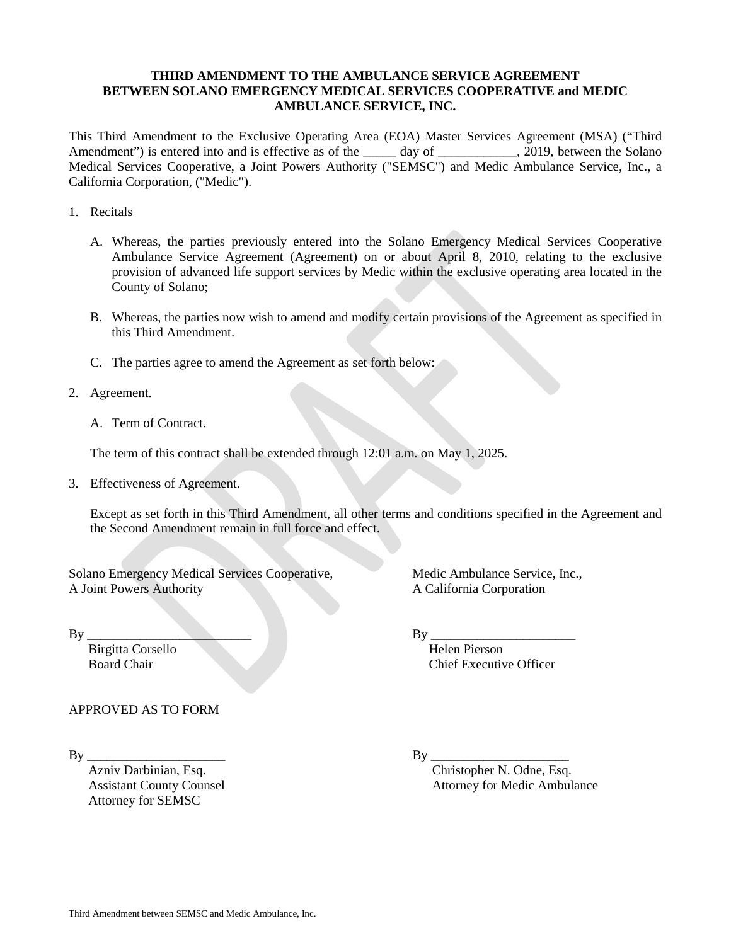#### **THIRD AMENDMENT TO THE AMBULANCE SERVICE AGREEMENT BETWEEN SOLANO EMERGENCY MEDICAL SERVICES COOPERATIVE and MEDIC AMBULANCE SERVICE, INC.**

This Third Amendment to the Exclusive Operating Area (EOA) Master Services Agreement (MSA) ("Third Amendment") is entered into and is effective as of the \_\_\_\_\_ day of \_\_\_\_\_\_\_\_\_\_, 2019, between the Solano Medical Services Cooperative, a Joint Powers Authority ("SEMSC") and Medic Ambulance Service, Inc., a California Corporation, ("Medic").

- 1. Recitals
	- A. Whereas, the parties previously entered into the Solano Emergency Medical Services Cooperative Ambulance Service Agreement (Agreement) on or about April 8, 2010, relating to the exclusive provision of advanced life support services by Medic within the exclusive operating area located in the County of Solano;
	- B. Whereas, the parties now wish to amend and modify certain provisions of the Agreement as specified in this Third Amendment.
	- C. The parties agree to amend the Agreement as set forth below:
- 2. Agreement.
	- A. Term of Contract.

The term of this contract shall be extended through 12:01 a.m. on May 1, 2025.

3. Effectiveness of Agreement.

Except as set forth in this Third Amendment, all other terms and conditions specified in the Agreement and the Second Amendment remain in full force and effect.

Solano Emergency Medical Services Cooperative, Medic Ambulance Service, Inc., A Joint Powers Authority A California Corporation

 $\n By \n \underline{By \n \underline{By \n \underline{By \n \underline{By \n \underline{By \n \underline{By \n \underline{By \n \underline{By \n \underline{By \n \underline{By \n \underline{By \n \underline{By \n \underline{By \n \underline{By \n \underline{By \n \underline{By \n \underline{By \n \underline{By \n \underline{Ay \n \underline{Ay \n \underline{Ay \n \underline{Ay \n \underline{Ay \n \underline{Ay \$ Birgitta Corsello Helen Pierson Board Chair Chief Executive Officer

APPROVED AS TO FORM

Attorney for SEMSC

By \_\_\_\_\_\_\_\_\_\_\_\_\_\_\_\_\_\_\_\_\_ By \_\_\_\_\_\_\_\_\_\_\_\_\_\_\_\_\_\_\_\_\_

 Azniv Darbinian, Esq. Christopher N. Odne, Esq. Assistant County Counsel **Attorney for Medic Ambulance** Attorney for Medic Ambulance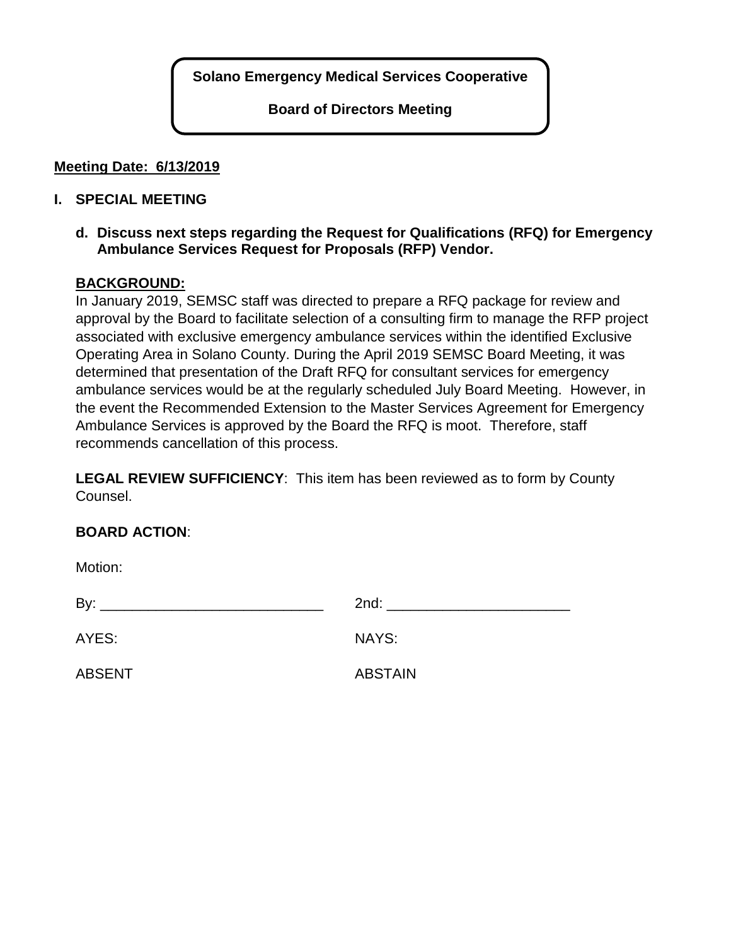**Board of Directors Meeting**

## **Meeting Date: 6/13/2019**

## **I. SPECIAL MEETING**

**d. Discuss next steps regarding the Request for Qualifications (RFQ) for Emergency Ambulance Services Request for Proposals (RFP) Vendor.**

## **BACKGROUND:**

In January 2019, SEMSC staff was directed to prepare a RFQ package for review and approval by the Board to facilitate selection of a consulting firm to manage the RFP project associated with exclusive emergency ambulance services within the identified Exclusive Operating Area in Solano County. During the April 2019 SEMSC Board Meeting, it was determined that presentation of the Draft RFQ for consultant services for emergency ambulance services would be at the regularly scheduled July Board Meeting. However, in the event the Recommended Extension to the Master Services Agreement for Emergency Ambulance Services is approved by the Board the RFQ is moot. Therefore, staff recommends cancellation of this process.

**LEGAL REVIEW SUFFICIENCY**: This item has been reviewed as to form by County Counsel.

# **BOARD ACTION**:

Motion:

| .             |                                                                                                                                                                                                                                                                                                                                    |
|---------------|------------------------------------------------------------------------------------------------------------------------------------------------------------------------------------------------------------------------------------------------------------------------------------------------------------------------------------|
| By:           | $2nd:$ and $\overline{a}$ and $\overline{a}$ and $\overline{a}$ and $\overline{a}$ and $\overline{a}$ and $\overline{a}$ and $\overline{a}$ and $\overline{a}$ and $\overline{a}$ and $\overline{a}$ and $\overline{a}$ and $\overline{a}$ and $\overline{a}$ and $\overline{a}$ and $\overline{a}$ and $\overline{a}$ and $\over$ |
| AYES:         | NAYS:                                                                                                                                                                                                                                                                                                                              |
| <b>ABSENT</b> | <b>ABSTAIN</b>                                                                                                                                                                                                                                                                                                                     |
|               |                                                                                                                                                                                                                                                                                                                                    |